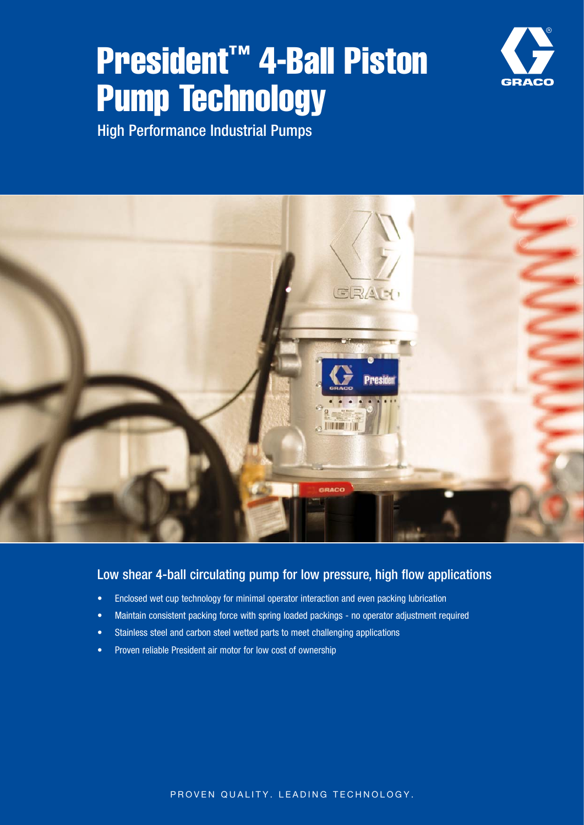## President™ 4-Ball Piston Pump Technology



High Performance Industrial Pumps



## Low shear 4-ball circulating pump for low pressure, high flow applications

- Enclosed wet cup technology for minimal operator interaction and even packing lubrication
- Maintain consistent packing force with spring loaded packings no operator adjustment required
- Stainless steel and carbon steel wetted parts to meet challenging applications
- Proven reliable President air motor for low cost of ownership